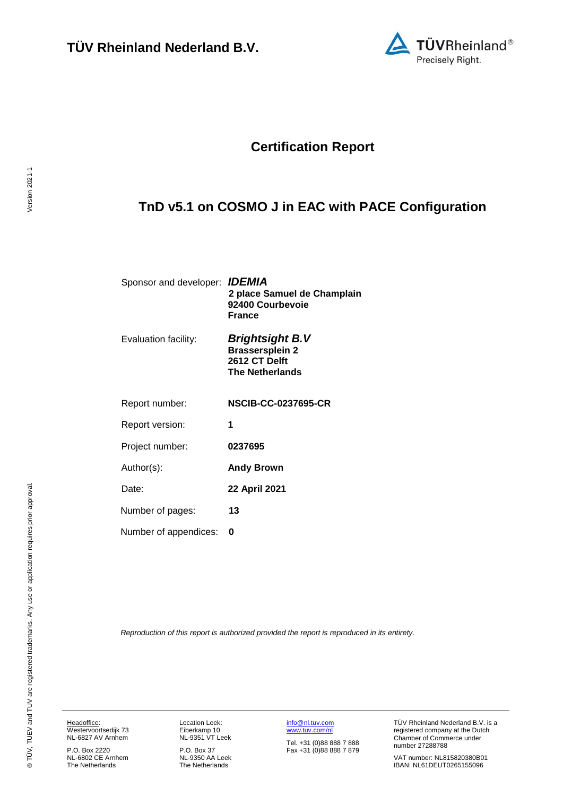

# **Certification Report**

# <span id="page-0-2"></span>**TnD v5.1 on COSMO J in EAC with PACE Configuration**

<span id="page-0-3"></span><span id="page-0-0"></span>

| Sponsor and developer: <b>IDEMIA</b> | 2 place Samuel de Champlain<br>92400 Courbevoie<br>France                            |
|--------------------------------------|--------------------------------------------------------------------------------------|
| Evaluation facility:                 | Brightsight B.V<br><b>Brassersplein 2</b><br>2612 CT Delft<br><b>The Netherlands</b> |
| Report number:                       | <b>NSCIB-CC-0237695-CR</b>                                                           |
| Report version:                      | 1                                                                                    |
| Project number:                      | 0237695                                                                              |
| Author(s):                           | <b>Andy Brown</b>                                                                    |
| Date:                                | 22 April 2021                                                                        |
| Number of pages:                     | 13                                                                                   |
| Number of appendices:                | O                                                                                    |
|                                      |                                                                                      |

<span id="page-0-1"></span>*Reproduction of this report is authorized provided the report is reproduced in its entirety.*

Headoffice: Westervoortsedijk 73 NL-6827 AV Arnhem

P.O. Box 2220 NL-6802 CE Arnhem The Netherlands

Location Leek: Eiberkamp 10 NL-9351 VT Leek

P.O. Box 37 NL-9350 AA Leek The Netherlands [info@nl.tuv.com](mailto:info@nl.tuv.com) [www.tuv.com/nl](http://www.tuv.com/nl)

Tel. +31 (0)88 888 7 888 Fax +31 (0)88 888 7 879 TÜV Rheinland Nederland B.V. is a registered company at the Dutch Chamber of Commerce under number 27288788

VAT number: NL815820380B01 IBAN: NL61DEUT0265155096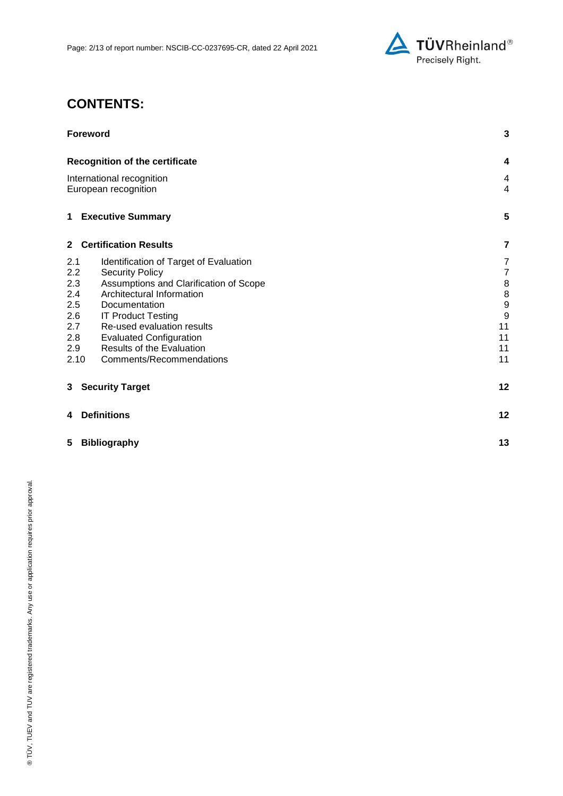

# **CONTENTS:**

| <b>Foreword</b>                                                            | 3                                         |
|----------------------------------------------------------------------------|-------------------------------------------|
| <b>Recognition of the certificate</b>                                      | 4                                         |
| International recognition<br>European recognition                          | $\overline{\mathbf{4}}$<br>$\overline{4}$ |
| <b>Executive Summary</b><br>$\mathbf 1$                                    | 5                                         |
| 2 Certification Results                                                    | 7                                         |
| 2.1<br>Identification of Target of Evaluation                              | 7                                         |
| 2.2<br><b>Security Policy</b>                                              | $\overline{7}$                            |
| Assumptions and Clarification of Scope<br>2.3                              | 8                                         |
| 2.4<br>Architectural Information                                           | 8                                         |
| 2.5<br>Documentation                                                       | $\boldsymbol{9}$                          |
| 2.6<br><b>IT Product Testing</b>                                           | 9                                         |
| 2.7<br>Re-used evaluation results<br>2.8<br><b>Evaluated Configuration</b> | 11<br>11                                  |
| Results of the Evaluation<br>2.9                                           | 11                                        |
| 2.10<br>Comments/Recommendations                                           | 11                                        |
| <b>Security Target</b><br>3                                                | 12                                        |
| <b>Definitions</b><br>4                                                    | 12                                        |
| 5<br><b>Bibliography</b>                                                   | 13                                        |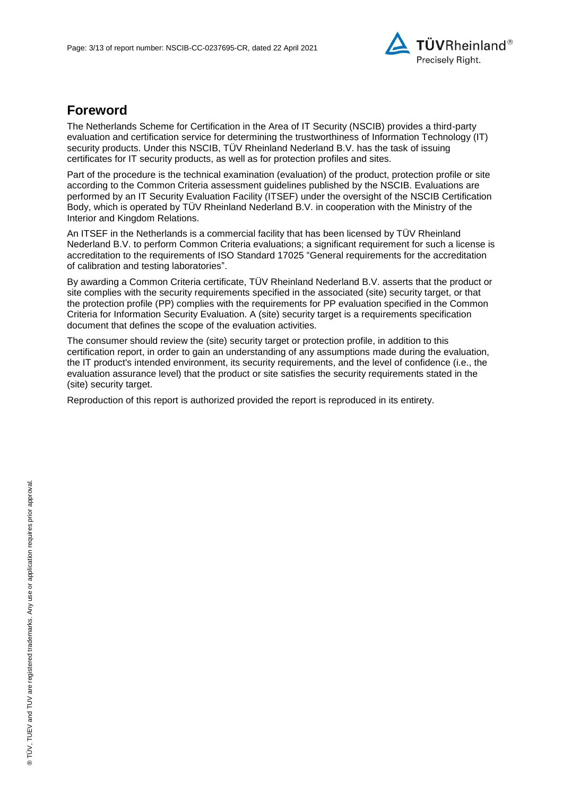

## **Foreword**

The Netherlands Scheme for Certification in the Area of IT Security (NSCIB) provides a third-party evaluation and certification service for determining the trustworthiness of Information Technology (IT) security products. Under this NSCIB, TUV Rheinland Nederland B.V. has the task of issuing certificates for IT security products, as well as for protection profiles and sites.

Part of the procedure is the technical examination (evaluation) of the product, protection profile or site according to the Common Criteria assessment guidelines published by the NSCIB. Evaluations are performed by an IT Security Evaluation Facility (ITSEF) under the oversight of the NSCIB Certification Body, which is operated by TÜV Rheinland Nederland B.V. in cooperation with the Ministry of the Interior and Kingdom Relations.

An ITSEF in the Netherlands is a commercial facility that has been licensed by TÜV Rheinland Nederland B.V. to perform Common Criteria evaluations; a significant requirement for such a license is accreditation to the requirements of ISO Standard 17025 "General requirements for the accreditation of calibration and testing laboratories".

By awarding a Common Criteria certificate, TÜV Rheinland Nederland B.V. asserts that the product or site complies with the security requirements specified in the associated (site) security target, or that the protection profile (PP) complies with the requirements for PP evaluation specified in the Common Criteria for Information Security Evaluation. A (site) security target is a requirements specification document that defines the scope of the evaluation activities.

The consumer should review the (site) security target or protection profile, in addition to this certification report, in order to gain an understanding of any assumptions made during the evaluation, the IT product's intended environment, its security requirements, and the level of confidence (i.e., the evaluation assurance level) that the product or site satisfies the security requirements stated in the (site) security target.

Reproduction of this report is authorized provided the report is reproduced in its entirety.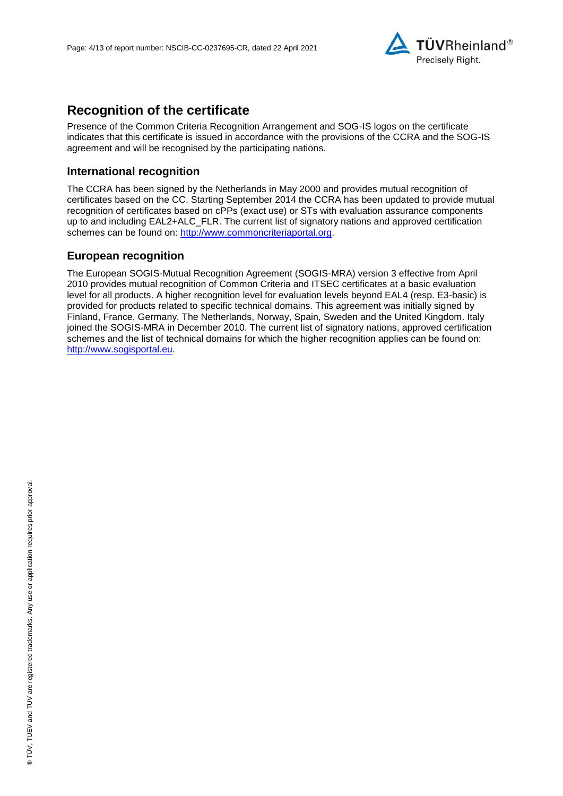

## **Recognition of the certificate**

Presence of the Common Criteria Recognition Arrangement and SOG-IS logos on the certificate indicates that this certificate is issued in accordance with the provisions of the CCRA and the SOG-IS agreement and will be recognised by the participating nations.

### **International recognition**

The CCRA has been signed by the Netherlands in May 2000 and provides mutual recognition of certificates based on the CC. Starting September 2014 the CCRA has been updated to provide mutual recognition of certificates based on cPPs (exact use) or STs with evaluation assurance components up to and including EAL2+ALC\_FLR. The current list of signatory nations and approved certification schemes can be found on: [http://www.commoncriteriaportal.org.](http://www.commoncriteriaportal.org/)

## **European recognition**

The European SOGIS-Mutual Recognition Agreement (SOGIS-MRA) version 3 effective from April 2010 provides mutual recognition of Common Criteria and ITSEC certificates at a basic evaluation level for all products. A higher recognition level for evaluation levels beyond EAL4 (resp. E3-basic) is provided for products related to specific technical domains. This agreement was initially signed by Finland, France, Germany, The Netherlands, Norway, Spain, Sweden and the United Kingdom. Italy joined the SOGIS-MRA in December 2010. The current list of signatory nations, approved certification schemes and the list of technical domains for which the higher recognition applies can be found on: [http://www.sogisportal.eu.](http://www.sogisportal.eu/)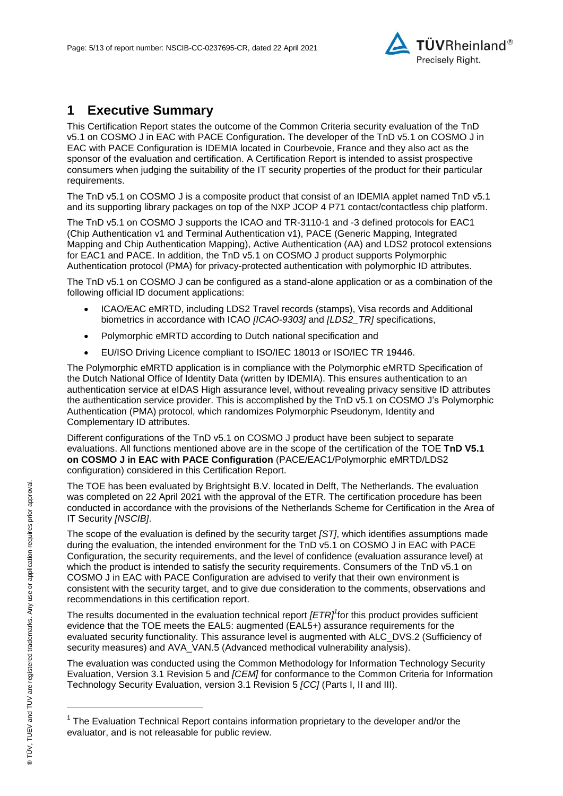<span id="page-4-2"></span>

## **1 Executive Summary**

This Certification Report states the outcome of the Common Criteria security evaluation of the [TnD](#page-0-2)  [v5.1 on COSMO J in EAC with PACE Configuration](#page-0-2)**.** The developer of the [TnD v5.1 on COSMO J in](#page-0-2)  [EAC with PACE Configuration](#page-0-2) is [IDEMIA](#page-0-3) located in Courbevoie, France and they also act as the sponsor of the evaluation and certification. A Certification Report is intended to assist prospective consumers when judging the suitability of the IT security properties of the product for their particular requirements.

The TnD v5.1 on COSMO J is a composite product that consist of an IDEMIA applet named TnD v5.1 and its supporting library packages on top of the NXP JCOP 4 P71 contact/contactless chip platform.

The TnD v5.1 on COSMO J supports the ICAO and TR-3110-1 and -3 defined protocols for EAC1 (Chip Authentication v1 and Terminal Authentication v1), PACE (Generic Mapping, Integrated Mapping and Chip Authentication Mapping), Active Authentication (AA) and LDS2 protocol extensions for EAC1 and PACE. In addition, the TnD v5.1 on COSMO J product supports Polymorphic Authentication protocol (PMA) for privacy-protected authentication with polymorphic ID attributes.

The TnD v5.1 on COSMO J can be configured as a stand-alone application or as a combination of the following official ID document applications:

- ICAO/EAC eMRTD, including LDS2 Travel records (stamps), Visa records and Additional biometrics in accordance with ICAO *[ICAO-9303]* and *[LDS2\_TR]* specifications,
- Polymorphic eMRTD according to Dutch national specification and
- EU/ISO Driving Licence compliant to ISO/IEC 18013 or ISO/IEC TR 19446.

The Polymorphic eMRTD application is in compliance with the Polymorphic eMRTD Specification of the Dutch National Office of Identity Data (written by IDEMIA). This ensures authentication to an authentication service at eIDAS High assurance level, without revealing privacy sensitive ID attributes the authentication service provider. This is accomplished by the TnD v5.1 on COSMO J's Polymorphic Authentication (PMA) protocol, which randomizes Polymorphic Pseudonym, Identity and Complementary ID attributes.

Different configurations of the TnD v5.1 on COSMO J product have been subject to separate evaluations. All functions mentioned above are in the scope of the certification of the TOE **TnD V5.1 on COSMO J in EAC with PACE Configuration** (PACE/EAC1/Polymorphic eMRTD/LDS2 configuration) considered in this Certification Report.

The TOE has been evaluated by Brightsight B.V. located in Delft, The Netherlands. The evaluation was completed on 22 April 2021 with the approval of the ETR. The certification procedure has been conducted in accordance with the provisions of the Netherlands Scheme for Certification in the Area of IT Security *[NSCIB]*.

The scope of the evaluation is defined by the security target *[ST]*, which identifies assumptions made during the evaluation, the intended environment for the [TnD v5.1 on COSMO J in EAC with PACE](#page-0-2)  [Configuration,](#page-0-2) the security requirements, and the level of confidence (evaluation assurance level) at which the product is intended to satisfy the security requirements. Consumers of the [TnD v5.1 on](#page-0-2)  [COSMO J in EAC with PACE Configuration](#page-0-2) are advised to verify that their own environment is consistent with the security target, and to give due consideration to the comments, observations and recommendations in this certification report.

<span id="page-4-0"></span>The results documented in the evaluation technical report *[ETR]<sup>1</sup>* for this product provides sufficient evidence that the TOE meets the EAL5: augmented (EA[L5+](#page-4-0)) assurance requirements for the evaluated security functionality. This assurance level is augmented with ALC\_DVS.2 (Sufficiency of security measures) and AVA\_VAN.5 (Advanced methodical vulnerability analysis).

<span id="page-4-1"></span>The evaluation was conducted using the Common Methodology for Information Technology Security Evaluation, Version 3.1 Revision 5 and *[CEM]* for conformance to the Common Criteria for Information Technology Security Evaluation, version 3.1 Revision [5](#page-4-1) *[CC]* (Parts I, II and III).

l

<sup>&</sup>lt;sup>1</sup> The Evaluation Technical Report contains information proprietary to the developer and/or the evaluator, and is not releasable for public review.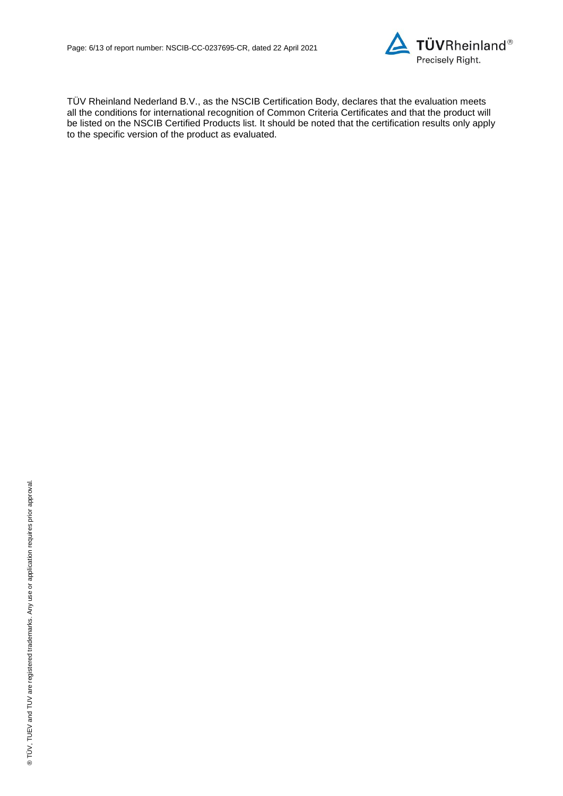

TÜV Rheinland Nederland B.V., as the NSCIB Certification Body, declares that the evaluation meets all the conditions for international recognition of Common Criteria Certificates and that the product will be listed on the NSCIB Certified Products list. It should be noted that the certification results only apply to the specific version of the product as evaluated.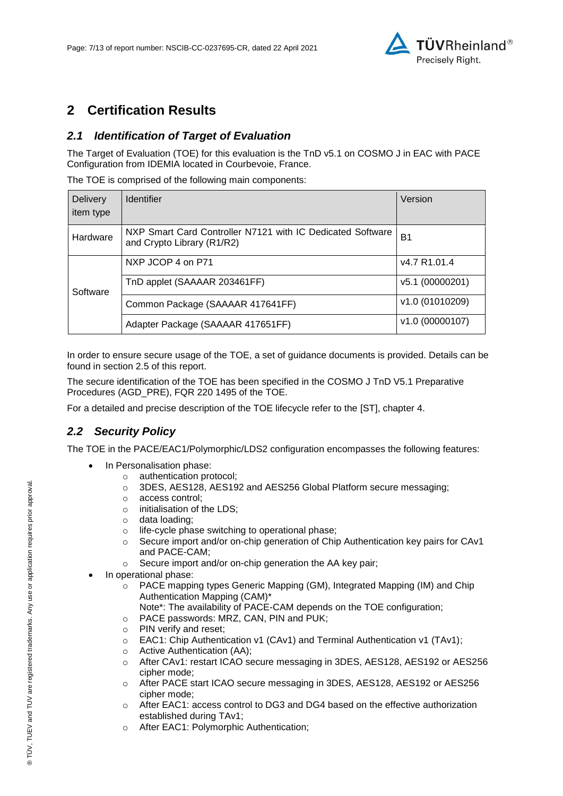

## **2 Certification Results**

## *2.1 Identification of Target of Evaluation*

The Target of Evaluation (TOE) for this evaluation is the [TnD v5.1 on COSMO J in EAC with PACE](#page-0-2)  [Configuration](#page-0-2) from [IDEMIA](#page-0-3) located in [Courbevoie, France.](#page-4-2)

The TOE is comprised of the following main components:

| <b>Delivery</b><br>item type | <b>Identifier</b>                                                                        | Version         |
|------------------------------|------------------------------------------------------------------------------------------|-----------------|
| Hardware                     | NXP Smart Card Controller N7121 with IC Dedicated Software<br>and Crypto Library (R1/R2) | B <sub>1</sub>  |
| Software                     | NXP JCOP 4 on P71                                                                        | v4.7 R1.01.4    |
|                              | TnD applet (SAAAAR 203461FF)                                                             | v5.1 (00000201) |
|                              | Common Package (SAAAAR 417641FF)                                                         | v1.0 (01010209) |
|                              | Adapter Package (SAAAAR 417651FF)                                                        | v1.0 (00000107) |

In order to ensure secure usage of the TOE, a set of guidance documents is provided. Details can be found in section 2.5 of this report.

The secure identification of the TOE has been specified in the COSMO J TnD V5.1 Preparative Procedures (AGD\_PRE), FQR 220 1495 of the TOE.

For a detailed and precise description of the TOE lifecycle refer to the [ST], chapter 4.

## *2.2 Security Policy*

The TOE in the PACE/EAC1/Polymorphic/LDS2 configuration encompasses the following features:

- In Personalisation phase:
	- o authentication protocol;
	- o 3DES, AES128, AES192 and AES256 Global Platform secure messaging;
	- o access control;
	- o initialisation of the LDS;
	- o data loading;
	- o life-cycle phase switching to operational phase;
	- $\circ$  Secure import and/or on-chip generation of Chip Authentication key pairs for CAv1 and PACE-CAM;
	- o Secure import and/or on-chip generation the AA key pair;
- In operational phase:
	- o PACE mapping types Generic Mapping (GM), Integrated Mapping (IM) and Chip Authentication Mapping (CAM)\*
		- Note\*: The availability of PACE-CAM depends on the TOE configuration;
	- o PACE passwords: MRZ, CAN, PIN and PUK;
	- o PIN verify and reset;
	- o EAC1: Chip Authentication v1 (CAv1) and Terminal Authentication v1 (TAv1);
	- o Active Authentication (AA);
	- o After CAv1: restart ICAO secure messaging in 3DES, AES128, AES192 or AES256 cipher mode;
	- o After PACE start ICAO secure messaging in 3DES, AES128, AES192 or AES256 cipher mode;
	- o After EAC1: access control to DG3 and DG4 based on the effective authorization established during TAv1;
	- o After EAC1: Polymorphic Authentication;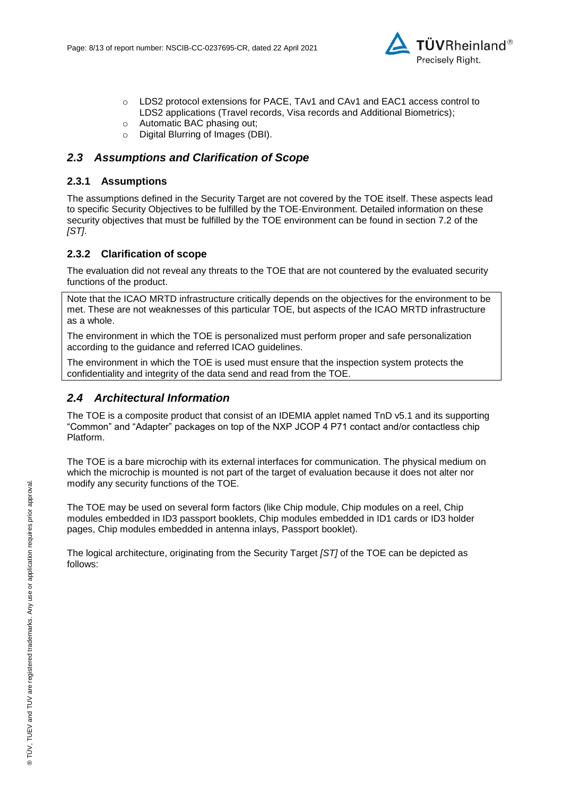

- o LDS2 protocol extensions for PACE, TAv1 and CAv1 and EAC1 access control to LDS2 applications (Travel records, Visa records and Additional Biometrics);
- o Automatic BAC phasing out;
- o Digital Blurring of Images (DBI).

### *2.3 Assumptions and Clarification of Scope*

#### **2.3.1 Assumptions**

The assumptions defined in the Security Target are not covered by the TOE itself. These aspects lead to specific Security Objectives to be fulfilled by the TOE-Environment. Detailed information on these security objectives that must be fulfilled by the TOE environment can be found in section 7.2 of the *[ST]*.

#### **2.3.2 Clarification of scope**

The evaluation did not reveal any threats to the TOE that are not countered by the evaluated security functions of the product.

Note that the ICAO MRTD infrastructure critically depends on the objectives for the environment to be met. These are not weaknesses of this particular TOE, but aspects of the ICAO MRTD infrastructure as a whole.

The environment in which the TOE is personalized must perform proper and safe personalization according to the guidance and referred ICAO guidelines.

The environment in which the TOE is used must ensure that the inspection system protects the confidentiality and integrity of the data send and read from the TOE.

### *2.4 Architectural Information*

The TOE is a composite product that consist of an IDEMIA applet named TnD v5.1 and its supporting "Common" and "Adapter" packages on top of the NXP JCOP 4 P71 contact and/or contactless chip Platform.

The TOE is a bare microchip with its external interfaces for communication. The physical medium on which the microchip is mounted is not part of the target of evaluation because it does not alter nor modify any security functions of the TOE.

The TOE may be used on several form factors (like Chip module, Chip modules on a reel, Chip modules embedded in ID3 passport booklets, Chip modules embedded in ID1 cards or ID3 holder pages, Chip modules embedded in antenna inlays, Passport booklet).

The logical architecture, originating from the Security Target *[ST]* of the TOE can be depicted as follows: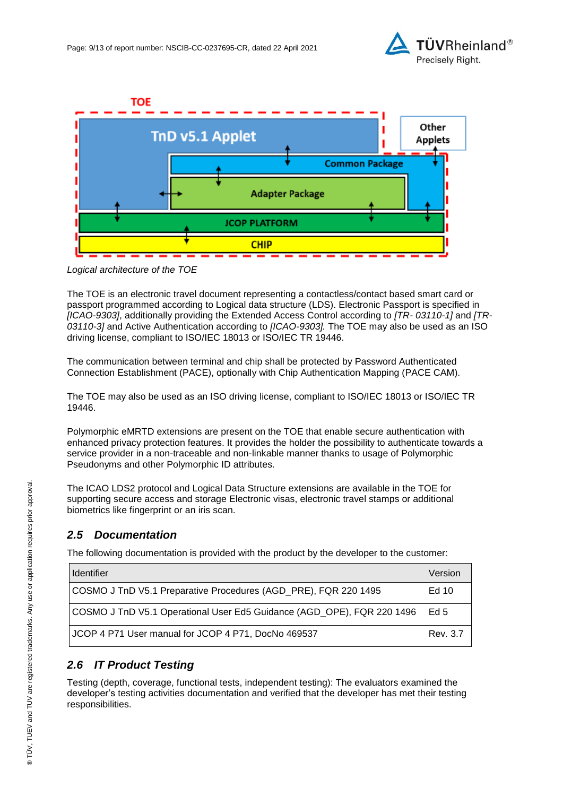



*Logical architecture of the TOE* 

The TOE is an electronic travel document representing a contactless/contact based smart card or passport programmed according to Logical data structure (LDS). Electronic Passport is specified in *[ICAO-9303]*, additionally providing the Extended Access Control according to *[TR- 03110-1]* and *[TR-03110-3]* and Active Authentication according to *[ICAO-9303].* The TOE may also be used as an ISO driving license, compliant to ISO/IEC 18013 or ISO/IEC TR 19446.

The communication between terminal and chip shall be protected by Password Authenticated Connection Establishment (PACE), optionally with Chip Authentication Mapping (PACE CAM).

The TOE may also be used as an ISO driving license, compliant to ISO/IEC 18013 or ISO/IEC TR 19446.

Polymorphic eMRTD extensions are present on the TOE that enable secure authentication with enhanced privacy protection features. It provides the holder the possibility to authenticate towards a service provider in a non-traceable and non-linkable manner thanks to usage of Polymorphic Pseudonyms and other Polymorphic ID attributes.

The ICAO LDS2 protocol and Logical Data Structure extensions are available in the TOE for supporting secure access and storage Electronic visas, electronic travel stamps or additional biometrics like fingerprint or an iris scan.

## *2.5 Documentation*

The following documentation is provided with the product by the developer to the customer:

| <b>Identifier</b>                                                      | Version  |
|------------------------------------------------------------------------|----------|
| COSMO J TnD V5.1 Preparative Procedures (AGD PRE), FQR 220 1495        | Ed 10    |
| COSMO J TnD V5.1 Operational User Ed5 Guidance (AGD OPE), FQR 220 1496 | Ed 5     |
| JCOP 4 P71 User manual for JCOP 4 P71, DocNo 469537                    | Rev. 3.7 |

## *2.6 IT Product Testing*

Testing (depth, coverage, functional tests, independent testing): The evaluators examined the developer's testing activities documentation and verified that the developer has met their testing responsibilities.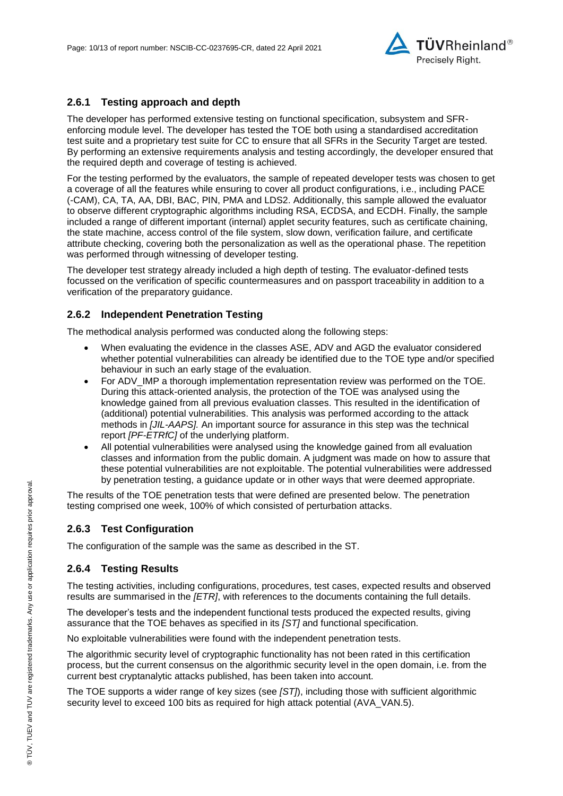

### **2.6.1 Testing approach and depth**

The developer has performed extensive testing on functional specification, subsystem and SFRenforcing module level. The developer has tested the TOE both using a standardised accreditation test suite and a proprietary test suite for CC to ensure that all SFRs in the Security Target are tested. By performing an extensive requirements analysis and testing accordingly, the developer ensured that the required depth and coverage of testing is achieved.

For the testing performed by the evaluators, the sample of repeated developer tests was chosen to get a coverage of all the features while ensuring to cover all product configurations, i.e., including PACE (-CAM), CA, TA, AA, DBI, BAC, PIN, PMA and LDS2. Additionally, this sample allowed the evaluator to observe different cryptographic algorithms including RSA, ECDSA, and ECDH. Finally, the sample included a range of different important (internal) applet security features, such as certificate chaining, the state machine, access control of the file system, slow down, verification failure, and certificate attribute checking, covering both the personalization as well as the operational phase. The repetition was performed through witnessing of developer testing.

The developer test strategy already included a high depth of testing. The evaluator-defined tests focussed on the verification of specific countermeasures and on passport traceability in addition to a verification of the preparatory guidance.

#### **2.6.2 Independent Penetration Testing**

The methodical analysis performed was conducted along the following steps:

- When evaluating the evidence in the classes ASE, ADV and AGD the evaluator considered whether potential vulnerabilities can already be identified due to the TOE type and/or specified behaviour in such an early stage of the evaluation.
- For ADV IMP a thorough implementation representation review was performed on the TOE. During this attack-oriented analysis, the protection of the TOE was analysed using the knowledge gained from all previous evaluation classes. This resulted in the identification of (additional) potential vulnerabilities. This analysis was performed according to the attack methods in *[JIL-AAPS].* An important source for assurance in this step was the technical report *[PF-ETRfC]* of the underlying platform.
- All potential vulnerabilities were analysed using the knowledge gained from all evaluation classes and information from the public domain. A judgment was made on how to assure that these potential vulnerabilities are not exploitable. The potential vulnerabilities were addressed by penetration testing, a guidance update or in other ways that were deemed appropriate.

The results of the TOE penetration tests that were defined are presented below. The penetration testing comprised one week, 100% of which consisted of perturbation attacks.

### **2.6.3 Test Configuration**

The configuration of the sample was the same as described in the ST.

#### **2.6.4 Testing Results**

The testing activities, including configurations, procedures, test cases, expected results and observed results are summarised in the *[ETR]*, with references to the documents containing the full details.

The developer's tests and the independent functional tests produced the expected results, giving assurance that the TOE behaves as specified in its *[ST]* and functional specification.

No exploitable vulnerabilities were found with the independent penetration tests.

The algorithmic security level of cryptographic functionality has not been rated in this certification process, but the current consensus on the algorithmic security level in the open domain, i.e. from the current best cryptanalytic attacks published, has been taken into account.

The TOE supports a wider range of key sizes (see *[ST]*), including those with sufficient algorithmic security level to exceed 100 bits as required for high attack potential (AVA\_VAN.5).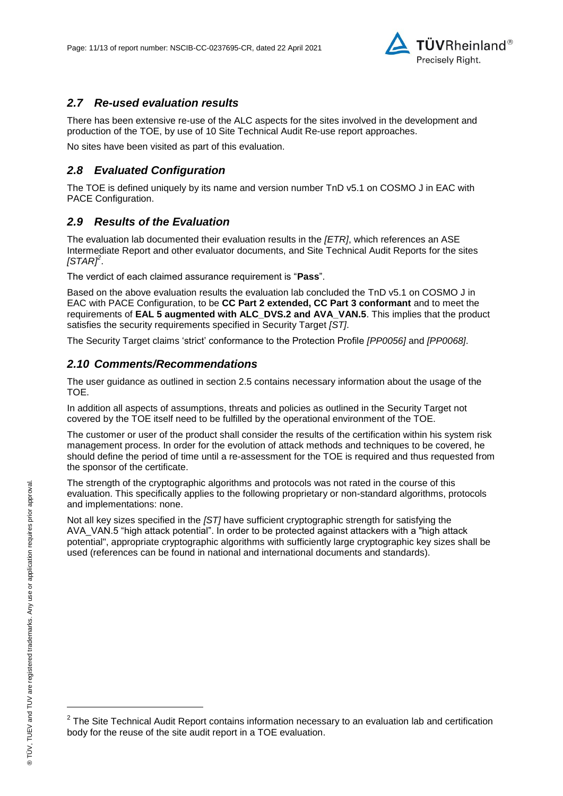

### *2.7 Re-used evaluation results*

There has been extensive re-use of the ALC aspects for the sites involved in the development and production of the TOE, by use of 10 Site Technical Audit Re-use report approaches.

No sites have been visited as part of this evaluation.

### *2.8 Evaluated Configuration*

The TOE is defined uniquely by its name and version number [TnD v5.1 on COSMO J in EAC with](#page-0-2)  [PACE Configuration.](#page-0-2)

### *2.9 Results of the Evaluation*

The evaluation lab documented their evaluation results in the *[ETR]*, which references an ASE Intermediate Report and other evaluator documents, and Site Technical Audit Reports for the sites *[STAR]<sup>2</sup>* .

The verdict of each claimed assurance requirement is "**Pass**".

Based on the above evaluation results the evaluation lab concluded the TnD v5.1 on COSMO J in [EAC with PACE Configuration,](#page-0-2) to be **CC Part 2 extended, CC Part 3 conformant** and to meet the requirements of **EAL [5](#page-4-0) augmented with ALC\_DVS.2 and AVA\_VAN.5**. This implies that the product satisfies the security requirements specified in Security Target *[ST]*.

The Security Target claims 'strict' conformance to the Protection Profile *[PP0056]* and *[PP0068]*.

### *2.10 Comments/Recommendations*

The user guidance as outlined in section 2.5 contains necessary information about the usage of the TOE.

In addition all aspects of assumptions, threats and policies as outlined in the Security Target not covered by the TOE itself need to be fulfilled by the operational environment of the TOE.

The customer or user of the product shall consider the results of the certification within his system risk management process. In order for the evolution of attack methods and techniques to be covered, he should define the period of time until a re-assessment for the TOE is required and thus requested from the sponsor of the certificate.

The strength of the cryptographic algorithms and protocols was not rated in the course of this evaluation. This specifically applies to the following proprietary or non-standard algorithms, protocols and implementations: none.

Not all key sizes specified in the *[ST]* have sufficient cryptographic strength for satisfying the AVA\_VAN.5 "high attack potential". In order to be protected against attackers with a "high attack potential", appropriate cryptographic algorithms with sufficiently large cryptographic key sizes shall be used (references can be found in national and international documents and standards).

l

 $2$  The Site Technical Audit Report contains information necessary to an evaluation lab and certification body for the reuse of the site audit report in a TOE evaluation.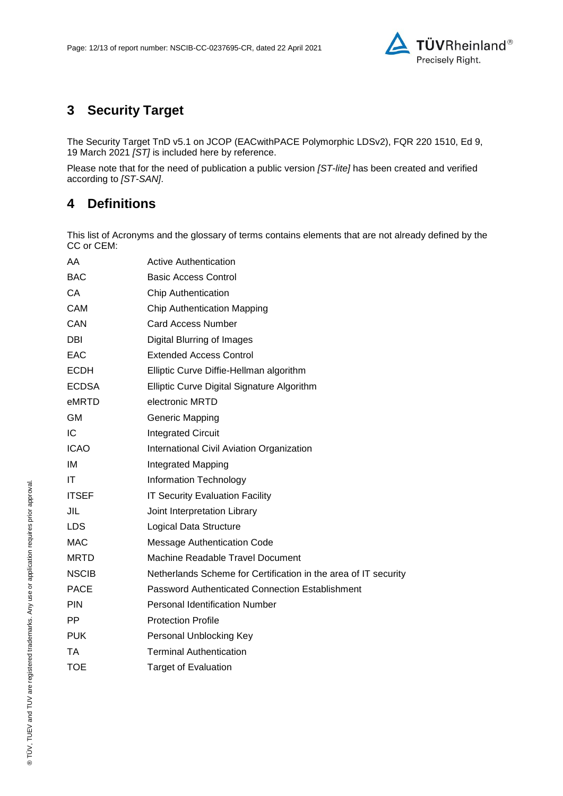

# **3 Security Target**

The [Security Target TnD v5.1 on JCOP \(EACwithPACE Polymorphic LDSv2\), FQR 220 1510, Ed 9,](#page-12-0) [19 March 2021](#page-12-0) *[ST]* is included here by reference.

Please note that for the need of publication a public version *[ST-lite]* has been created and verified according to *[ST-SAN]*.

## **4 Definitions**

This list of Acronyms and the glossary of terms contains elements that are not already defined by the CC or CEM:

| AA           | <b>Active Authentication</b>                                    |
|--------------|-----------------------------------------------------------------|
| <b>BAC</b>   | <b>Basic Access Control</b>                                     |
| CA           | <b>Chip Authentication</b>                                      |
| CAM          | Chip Authentication Mapping                                     |
| CAN          | <b>Card Access Number</b>                                       |
| DBI          | Digital Blurring of Images                                      |
| EAC          | <b>Extended Access Control</b>                                  |
| <b>ECDH</b>  | Elliptic Curve Diffie-Hellman algorithm                         |
| <b>ECDSA</b> | Elliptic Curve Digital Signature Algorithm                      |
| eMRTD        | electronic MRTD                                                 |
| GM           | <b>Generic Mapping</b>                                          |
| IC           | <b>Integrated Circuit</b>                                       |
| <b>ICAO</b>  | International Civil Aviation Organization                       |
| ΙM           | Integrated Mapping                                              |
| ΙT           | Information Technology                                          |
| <b>ITSEF</b> | <b>IT Security Evaluation Facility</b>                          |
| JIL          | Joint Interpretation Library                                    |
| LDS.         | Logical Data Structure                                          |
| <b>MAC</b>   | <b>Message Authentication Code</b>                              |
| <b>MRTD</b>  | Machine Readable Travel Document                                |
| <b>NSCIB</b> | Netherlands Scheme for Certification in the area of IT security |
| <b>PACE</b>  | Password Authenticated Connection Establishment                 |
| <b>PIN</b>   | <b>Personal Identification Number</b>                           |
| PP           | <b>Protection Profile</b>                                       |
| <b>PUK</b>   | Personal Unblocking Key                                         |
| ТA           | <b>Terminal Authentication</b>                                  |
| <b>TOE</b>   | <b>Target of Evaluation</b>                                     |